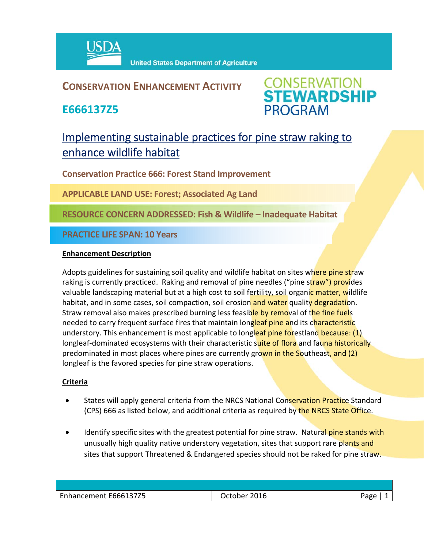

## **CONSERVATION ENHANCEMENT ACTIVITY**

**E666137Z5**



# Implementing sustainable practices for pine straw raking to enhance wildlife habitat

**Conservation Practice 666: Forest Stand Improvement**

**APPLICABLE LAND USE: Forest; Associated Ag Land**

**RESOURCE CONCERN ADDRESSED: Fish & Wildlife – Inadequate Habitat**

**PRACTICE LIFE SPAN: 10 Years**

#### **Enhancement Description**

Adopts guidelines for sustaining soil quality and wildlife habitat on sites where pine straw raking is currently practiced. Raking and removal of pine needles ("pine straw") provides valuable landscaping material but at a high cost to soil fertility, soil organic matter, wildlife habitat, and in some cases, soil compaction, soil erosion and water quality degradation. Straw removal also makes prescribed burning less feasible by removal of the fine fuels needed to carry frequent surface fires that maintain longleaf pine and its characteristic understory. This enhancement is most applicable to longleaf pine forestland because: (1) longleaf-dominated ecosystems with their characteristic suite of flora and fauna historically predominated in most places where pines are currently grown in the Southeast, and (2) longleaf is the favored species for pine straw operations.

### **Criteria**

- States will apply general criteria from the NRCS National Conservation Practice Standard (CPS) 666 as listed below, and additional criteria as required by the NRCS State Office.
- Identify specific sites with the greatest potential for pine straw. Natural pine stands with unusually high quality native understory vegetation, sites that support rare plants and sites that support Threatened & Endangered species should not be raked for pine straw.

| Enhancement E666137Z5 | 2016<br><b>Jctober</b> | Page |
|-----------------------|------------------------|------|
|                       |                        |      |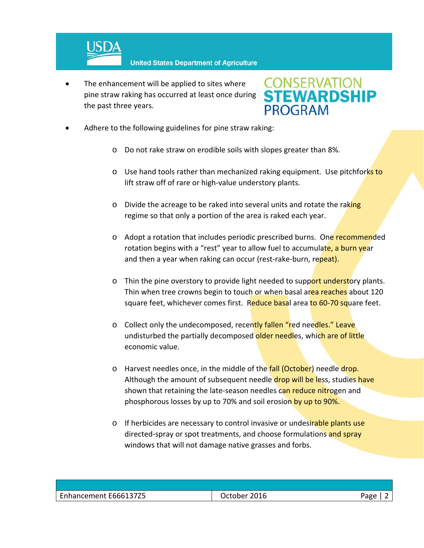

 The enhancement will be applied to sites where pine straw raking has occurred at least once during the past three years.



- Adhere to the following guidelines for pine straw raking:
	- o Do not rake straw on erodible soils with slopes greater than 8%.
	- o Use hand tools rather than mechanized raking equipment. Use pitchforks to lift straw off of rare or high‐value understory plants.
	- o Divide the acreage to be raked into several units and rotate the raking regime so that only a portion of the area is raked each year.
	- o Adopt a rotation that includes periodic prescribed burns. One recommended rotation begins with a "rest" year to allow fuel to accumulate, a burn year and then a year when raking can occur (rest-rake-burn, repeat).
	- o Thin the pine overstory to provide light needed to support understory plants. Thin when tree crowns begin to touch or when basal area reaches about 120 square feet, whichever comes first. Reduce basal area to 60-70 square feet.
	- o Collect only the undecomposed, recently fallen "red needles." Leave undisturbed the partially decomposed older needles, which are of little economic value.
	- o Harvest needles once, in the middle of the fall (October) needle drop. Although the amount of subsequent needle drop will be less, studies have shown that retaining the late-season needles can reduce nitrogen and phosphorous losses by up to 70% and soil erosion by up to 90%.
	- o If herbicides are necessary to control invasive or undesirable plants use directed-spray or spot treatments, and choose formulations and spray windows that will not damage native grasses and forbs.

| Enhancement E666137Z5 | 2016<br>October | Pape |
|-----------------------|-----------------|------|